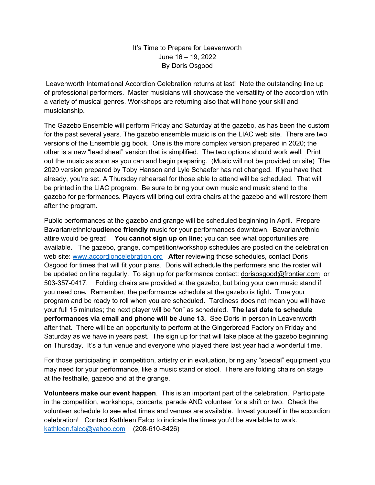## It's Time to Prepare for Leavenworth June 16 – 19, 2022 By Doris Osgood

 Leavenworth International Accordion Celebration returns at last! Note the outstanding line up of professional performers. Master musicians will showcase the versatility of the accordion with a variety of musical genres. Workshops are returning also that will hone your skill and musicianship.

The Gazebo Ensemble will perform Friday and Saturday at the gazebo, as has been the custom for the past several years. The gazebo ensemble music is on the LIAC web site. There are two versions of the Ensemble gig book. One is the more complex version prepared in 2020; the other is a new "lead sheet" version that is simplified. The two options should work well. Print out the music as soon as you can and begin preparing. (Music will not be provided on site) The 2020 version prepared by Toby Hanson and Lyle Schaefer has not changed. If you have that already, you're set. A Thursday rehearsal for those able to attend will be scheduled. That will be printed in the LIAC program. Be sure to bring your own music and music stand to the gazebo for performances. Players will bring out extra chairs at the gazebo and will restore them after the program.

Public performances at the gazebo and grange will be scheduled beginning in April. Prepare Bavarian/ethnic/audience friendly music for your performances downtown. Bavarian/ethnic attire would be great! You cannot sign up on line; you can see what opportunities are available. The gazebo, grange, competition/workshop schedules are posted on the celebration web site: www.accordioncelebration.org After reviewing those schedules, contact Doris Osgood for times that will fit your plans. Doris will schedule the performers and the roster will be updated on line regularly. To sign up for performance contact: dorisosgood@frontier.com or 503-357-0417. Folding chairs are provided at the gazebo, but bring your own music stand if you need one. Remember, the performance schedule at the gazebo is tight. Time your program and be ready to roll when you are scheduled. Tardiness does not mean you will have your full 15 minutes; the next player will be "on" as scheduled. The last date to schedule performances via email and phone will be June 13. See Doris in person in Leavenworth after that. There will be an opportunity to perform at the Gingerbread Factory on Friday and Saturday as we have in years past. The sign up for that will take place at the gazebo beginning on Thursday. It's a fun venue and everyone who played there last year had a wonderful time.

For those participating in competition, artistry or in evaluation, bring any "special" equipment you may need for your performance, like a music stand or stool. There are folding chairs on stage at the festhalle, gazebo and at the grange.

Volunteers make our event happen. This is an important part of the celebration. Participate in the competition, workshops, concerts, parade AND volunteer for a shift or two. Check the volunteer schedule to see what times and venues are available. Invest yourself in the accordion celebration! Contact Kathleen Falco to indicate the times you'd be available to work. kathleen.falco@yahoo.com (208-610-8426)